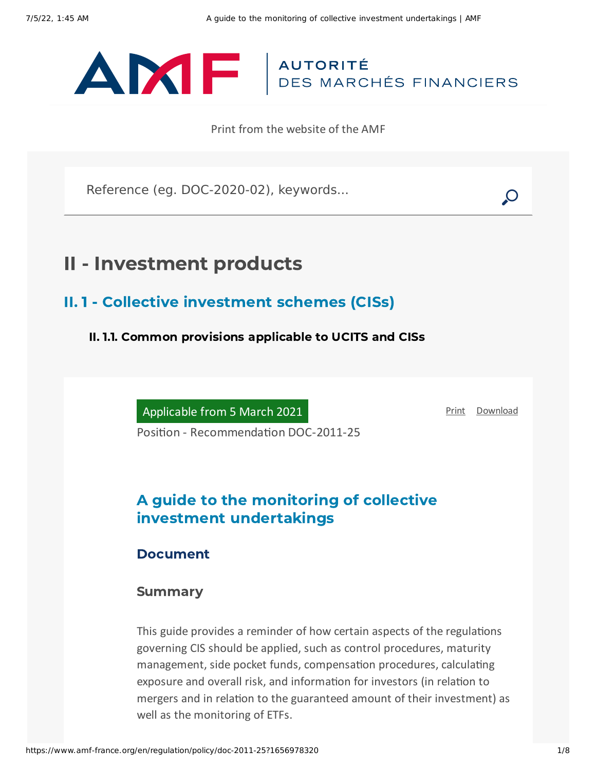

Print from the website of the AMF

Reference (eg. DOC-2020-02), keywords...

# II - Investment products

II. 1 - Collective investment schemes (CISs)

II. 1.1. Common provisions applicable to UCITS and CISs

Applicable from 5 March 2021

[Print](javascript:window.print()) [Download](https://www.amf-france.org/sites/default/files/pdf/62929/en/A_guide_to_the_monitoring_of_collective_investment_undertakings.pdf?1656978322)

Position - Recommendation DOC-2011-25

## A guide to the monitoring of collective investment undertakings

## Document

### Summary

This guide provides a reminder of how certain aspects of the regulations governing CIS should be applied, such as control procedures, maturity management, side pocket funds, compensation procedures, calculating exposure and overall risk, and information for investors (in relation to mergers and in relation to the guaranteed amount of their investment) as well as the monitoring of ETFs.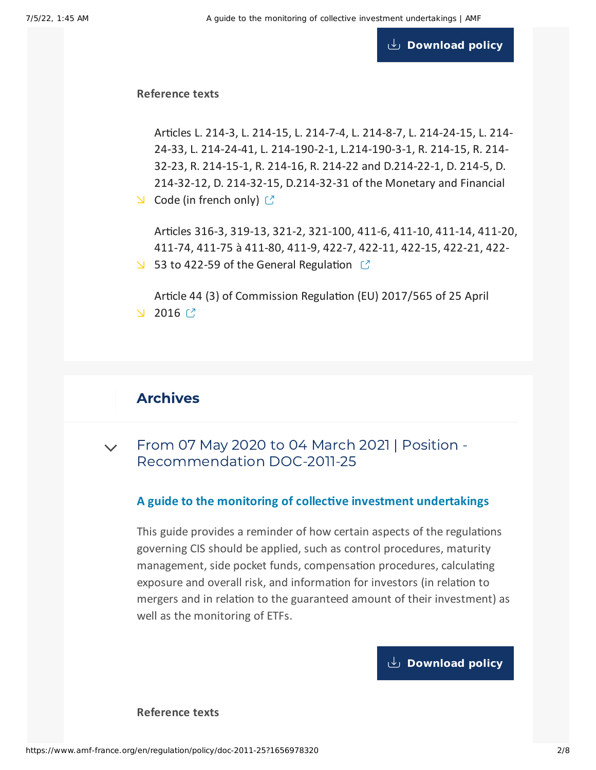**[Download](https://www.amf-france.org/sites/default/files/private/2021-04/doc-2011-25_va9.pdf) policy**

#### **Reference texts**

Articles L. 214-3, L. 214-15, L. 214-7-4, L. 214-8-7, L. 214-24-15, L. 214- 24-33, L. 214-24-41, L. 214-190-2-1, [L.214-190-3-1,](https://www.legifrance.gouv.fr/codes/id/LEGITEXT000006072026/) R. 214-15, R. 214- 32-23, R. 214-15-1, R. 214-16, R. 214-22 and D.214-22-1, D. 214-5, D. 214-32-12, D. 214-32-15, D.214-32-31 of the Monetary and Financial  $\triangle$  Code (in french only)  $\heartsuit$ 

Articles 316-3, 319-13, 321-2, 321-100, 411-6, 411-10, 411-14, 411-20, 411-74, 411-75 à 411-80, 411-9, 422-7, 422-11, 422-15, 422-21, 422- 53 to 422-59 of the General [Regulation](https://www.amf-france.org/en/eli/fr/aai/amf/rg/20210101/notes)  $\mathbb{C}^n$ 

Article 44 (3) of [Commission](https://www.amf-france.org/en/eli/fr/aai/amf/rg/20210101/notes) Regulation (EU) 2017/565 of 25 April  $2016$   $\frac{7}{2}$ 

## Archives

 $\sim$  From 07 May 2020 to 04 March 2021 | Position -[Recommendation](#page-1-0) DOC-2011-25

#### **A guide to the monitoring of collective investment undertakings**

<span id="page-1-0"></span>This guide provides a reminder of how certain aspects of the regulations governing CIS should be applied, such as control procedures, maturity management, side pocket funds, compensation procedures, calculating exposure and overall risk, and information for investors (in relation to mergers and in relation to the guaranteed amount of their investment) as well as the monitoring of ETFs.

## **[Download](https://www.amf-france.org/sites/default/files/private/2020-10/20200507-a-guide-to-the-monitoring-of-collective-investment-schemes.pdf) policy**

**Reference texts**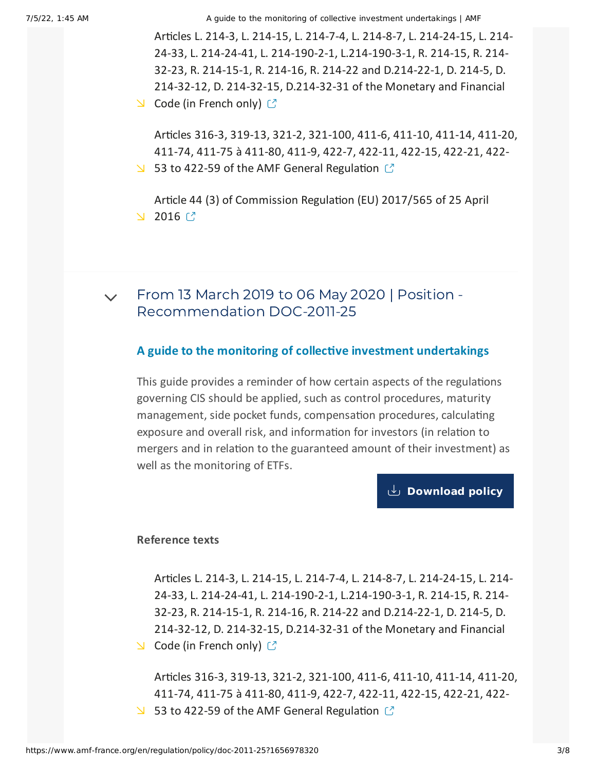Articles L. 214-3, L. 214-15, L. 214-7-4, L. 214-8-7, L. 214-24-15, L. 214- 24-33, L. 214-24-41, L. 214-190-2-1, [L.214-190-3-1,](http://www.legifrance.gouv.fr/affichCode.do?cidTexte=LEGITEXT000006072026) R. 214-15, R. 214- 32-23, R. 214-15-1, R. 214-16, R. 214-22 and D.214-22-1, D. 214-5, D. 214-32-12, D. 214-32-15, D.214-32-31 of the Monetary and Financial  $\triangle$  Code (in French only)  $\heartsuit$ 

Articles 316-3, 319-13, 321-2, 321-100, 411-6, 411-10, 411-14, 411-20, 411-74, 411-75 à 411-80, 411-9, 422-7, 422-11, 422-15, 422-21, 422-

53 to 422-59 of the AMF General [Regulation](https://reglement-general.amf-france.org/eli/fr/aai/amf/rg/notes/fr.html)  $\mathbb{C}^7$ 

Article 44 (3) of [Commission](https://eur-lex.europa.eu/legal-content/EN/TXT/HTML/?uri=CELEX:32017R0565&from=FR) Regulation (EU) 2017/565 of 25 April  $2016$   $\textdegree$ 

From 13 March 2019 to 06 May 2020 | Position - [Recommendation](#page-2-0) DOC-2011-25  $\vee$ 

#### **A guide to the monitoring of collective investment undertakings**

<span id="page-2-0"></span>This guide provides a reminder of how certain aspects of the regulations governing CIS should be applied, such as control procedures, maturity management, side pocket funds, compensation procedures, calculating exposure and overall risk, and information for investors (in relation to mergers and in relation to the guaranteed amount of their investment) as well as the monitoring of ETFs.

## **[Download](https://www.amf-france.org/sites/default/files/private/2020-10/20190313-a-guide-to-the-monitoring-of-collective-investment-schemes.pdf) policy**

#### **Reference texts**

Articles L. 214-3, L. 214-15, L. 214-7-4, L. 214-8-7, L. 214-24-15, L. 214- 24-33, L. 214-24-41, L. 214-190-2-1, [L.214-190-3-1,](http://www.legifrance.gouv.fr/affichCode.do?cidTexte=LEGITEXT000006072026) R. 214-15, R. 214- 32-23, R. 214-15-1, R. 214-16, R. 214-22 and D.214-22-1, D. 214-5, D. 214-32-12, D. 214-32-15, D.214-32-31 of the Monetary and Financial  $\triangle$  Code (in French only)  $\heartsuit$ 

Articles 316-3, 319-13, 321-2, 321-100, 411-6, 411-10, 411-14, 411-20, 411-74, 411-75 à 411-80, 411-9, 422-7, 422-11, 422-15, 422-21, 422- 53 to 422-59 of the AMF General [Regulation](https://reglement-general.amf-france.org/eli/fr/aai/amf/rg/notes/fr.html)  $\mathbb{C}$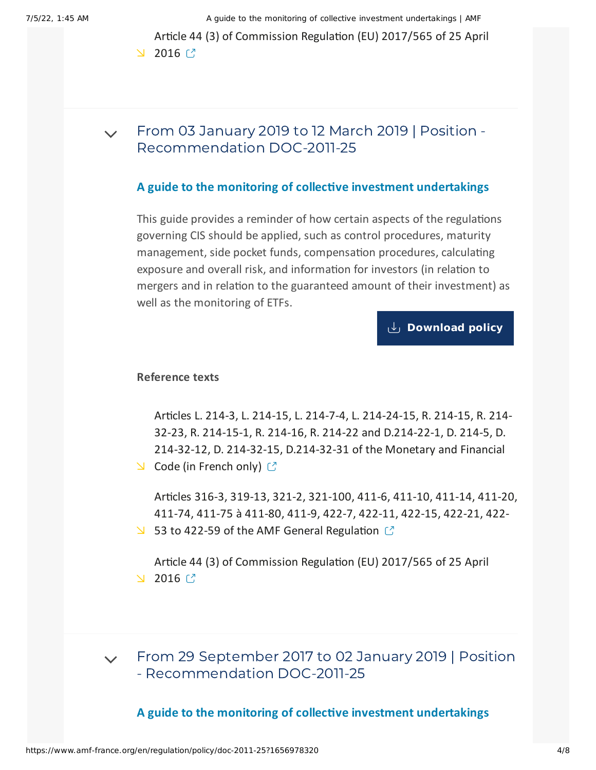Article 44 (3) of [Commission](https://eur-lex.europa.eu/legal-content/EN/TXT/HTML/?uri=CELEX:32017R0565&from=FR) Regulation (EU) 2017/565 of 25 April  $2016$   $\frac{7}{2}$ 

From 03 January 2019 to 12 March 2019 | Position - [Recommendation](#page-3-0) DOC-2011-25  $\vee$ 

#### **A guide to the monitoring of collective investment undertakings**

<span id="page-3-0"></span>This guide provides a reminder of how certain aspects of the regulations governing CIS should be applied, such as control procedures, maturity management, side pocket funds, compensation procedures, calculating exposure and overall risk, and information for investors (in relation to mergers and in relation to the guaranteed amount of their investment) as well as the monitoring of ETFs.

**[Download](https://www.amf-france.org/sites/default/files/private/2020-10/20190103-a-guide-to-the-monitoring-of-collective-investment-schemes.pdf) policy**

#### **Reference texts**

Articles L. 214-3, L. 214-15, L. 214-7-4, L. 214-24-15, R. 214-15, R. 214- 32-23, R. 214-15-1, R. 214-16, R. 214-22 and D.214-22-1, D. 214-5, D. 214-32-12, D. 214-32-15, [D.214-32-31](http://www.legifrance.gouv.fr/affichCode.do?cidTexte=LEGITEXT000006072026) of the Monetary and Financial

 $\triangle$  Code (in French only)  $\heartsuit$ 

Articles 316-3, 319-13, 321-2, 321-100, 411-6, 411-10, 411-14, 411-20, 411-74, 411-75 à 411-80, 411-9, 422-7, 422-11, 422-15, 422-21, 422- 53 to 422-59 of the AMF General [Regulation](https://reglement-general.amf-france.org/reglement/en_US/RG-en-vigueur)  $\mathbb{C}$ 

Article 44 (3) of [Commission](https://eur-lex.europa.eu/legal-content/EN/TXT/HTML/?uri=CELEX:32017R0565&from=FR) Regulation (EU) 2017/565 of 25 April  $2016$   $\frac{7}{2}$ 

 $\sim$  From 29 September 2017 to 02 January 2019 | Position - [Recommendation](#page-4-0) DOC-2011-25

**A guide to the monitoring of collective investment undertakings**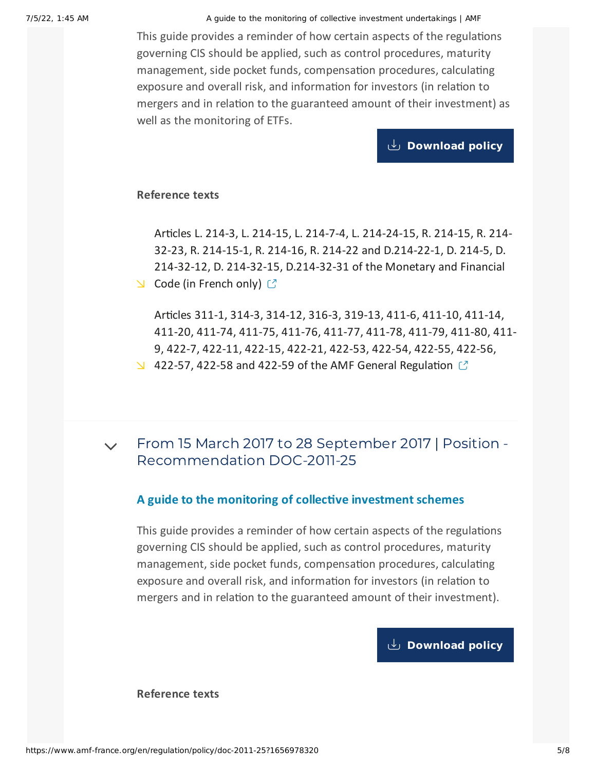<span id="page-4-0"></span>This guide provides a reminder of how certain aspects of the regulations governing CIS should be applied, such as control procedures, maturity management, side pocket funds, compensation procedures, calculating exposure and overall risk, and information for investors (in relation to mergers and in relation to the guaranteed amount of their investment) as well as the monitoring of ETFs.

**[Download](https://www.amf-france.org/sites/default/files/private/2020-10/20170929-a-guide-to-the-monitoring-of-collective-investment-schemes.pdf) policy**

#### **Reference texts**

Articles L. 214-3, L. 214-15, L. 214-7-4, L. 214-24-15, R. 214-15, R. 214- 32-23, R. 214-15-1, R. 214-16, R. 214-22 and D.214-22-1, D. 214-5, D. 214-32-12, D. 214-32-15, [D.214-32-31](http://www.legifrance.gouv.fr/affichCode.do?cidTexte=LEGITEXT000006072026) of the Monetary and Financial  $\triangle$  Code (in French only)  $\heartsuit$ 

Articles 311-1, 314-3, 314-12, 316-3, 319-13, 411-6, 411-10, 411-14, 411-20, 411-74, 411-75, 411-76, 411-77, 411-78, 411-79, 411-80, 411- 9, 422-7, 422-11, 422-15, 422-21, 422-53, 422-54, 422-55, 422-56,  $\angle$  422-57, 422-58 and 422-59 of the AMF General [Regulation](https://reglement-general.amf-france.org/reglement/en_US/RG-en-vigueur)  $\degree$ 

 $\sim$  From 15 March 2017 to 28 September 2017 | Position -[Recommendation](#page-4-1) DOC-2011-25

#### **A guide to the monitoring of collective investment schemes**

<span id="page-4-1"></span>This guide provides a reminder of how certain aspects of the regulations governing CIS should be applied, such as control procedures, maturity management, side pocket funds, compensation procedures, calculating exposure and overall risk, and information for investors (in relation to mergers and in relation to the guaranteed amount of their investment).

**[Download](https://www.amf-france.org/sites/default/files/private/2020-10/20170315-a-guide-to-the-monitoring-of-collective-investment-schemes.pdf) policy**

**Reference texts**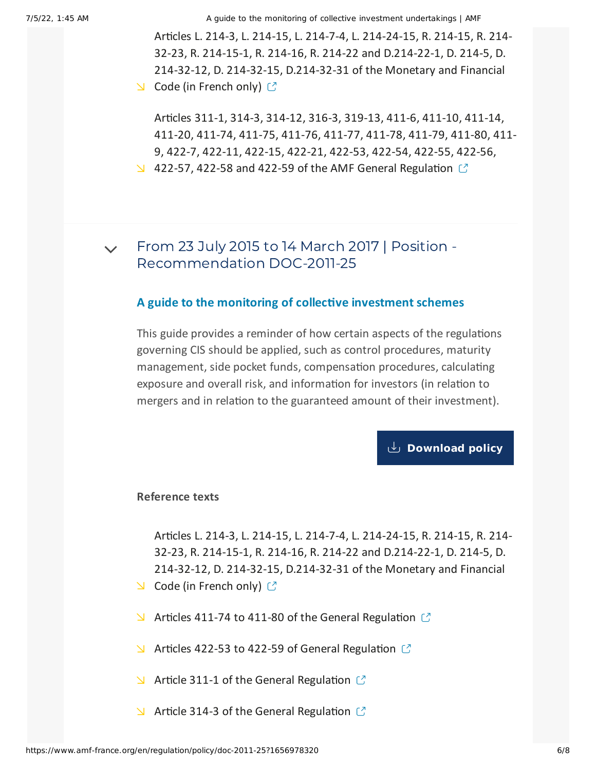Articles L. 214-3, L. 214-15, L. 214-7-4, L. 214-24-15, R. 214-15, R. 214- 32-23, R. 214-15-1, R. 214-16, R. 214-22 and D.214-22-1, D. 214-5, D. 214-32-12, D. 214-32-15, [D.214-32-31](http://www.legifrance.gouv.fr/affichCode.do?cidTexte=LEGITEXT000006072026) of the Monetary and Financial  $\triangle$  Code (in French only)  $\heartsuit$ 

Articles 311-1, 314-3, 314-12, 316-3, 319-13, 411-6, 411-10, 411-14, 411-20, 411-74, 411-75, 411-76, 411-77, 411-78, 411-79, 411-80, 411- 9, 422-7, 422-11, 422-15, 422-21, 422-53, 422-54, 422-55, 422-56,  $\vee$  422-57, 422-58 and 422-59 of the AMF General [Regulation](https://reglement-general.amf-france.org/reglement/en_US/RG-en-vigueur)  $\circ$ 

From 23 July 2015 to 14 March 2017 | Position - [Recommendation](#page-5-0) DOC-2011-25  $\vee$ 

#### **A guide to the monitoring of collective investment schemes**

<span id="page-5-0"></span>This guide provides a reminder of how certain aspects of the regulations governing CIS should be applied, such as control procedures, maturity management, side pocket funds, compensation procedures, calculating exposure and overall risk, and information for investors (in relation to mergers and in relation to the guaranteed amount of their investment).

**[Download](https://www.amf-france.org/sites/default/files/private/2020-10/20150723-a-guide-to-the-monitoring-of-collective-investment-schemes.pdf) policy**

#### **Reference texts**

Articles L. 214-3, L. 214-15, L. 214-7-4, L. 214-24-15, R. 214-15, R. 214- 32-23, R. 214-15-1, R. 214-16, R. 214-22 and D.214-22-1, D. 214-5, D. 214-32-12, D. 214-32-15, [D.214-32-31](http://www.legifrance.gouv.fr/affichCode.do?cidTexte=LEGITEXT000006072026) of the Monetary and Financial  $\triangle$  Code (in French only)  $\heartsuit$ 

- 
- $\blacktriangleright$  Articles 411-74 to 411-80 of the General [Regulation](https://reglement-general.amf-france.org/reglement/en_US/RG-en-vigueur)  $\heartsuit$
- $\blacktriangleright$  Articles 422-53 to 422-59 of General [Regulation](https://reglement-general.amf-france.org/reglement/en_US/RG-en-vigueur)  $\mathbb{C}$
- $\blacktriangleright$  Article 311-1 of the General [Regulation](https://reglement-general.amf-france.org/reglement/en_US/RG-en-vigueur)  $\heartsuit$
- $\blacktriangleright$  Article 314-3 of the General [Regulation](https://reglement-general.amf-france.org/reglement/en_US/RG-en-vigueur)  $\heartsuit$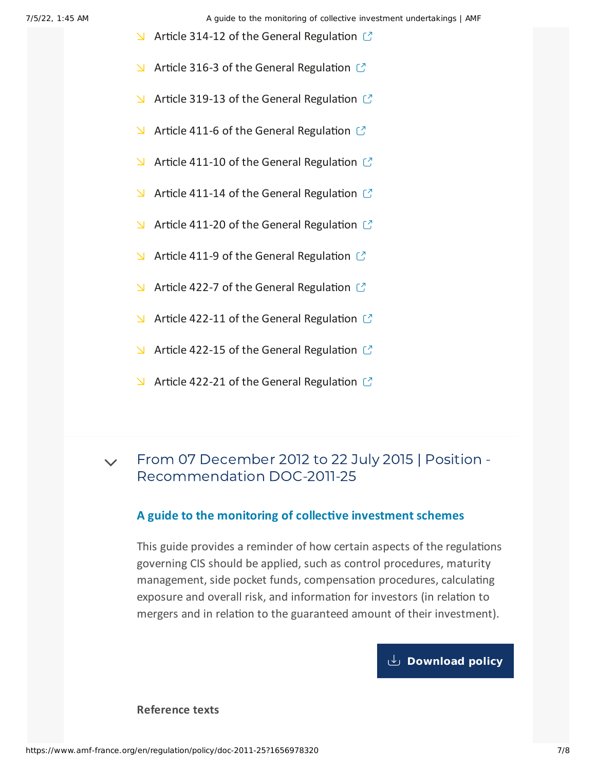- $\blacktriangleright$  Article 314-12 of the General [Regulation](https://reglement-general.amf-france.org/reglement/en_US/RG-en-vigueur)  $\mathbb{C}$
- $\blacktriangleright$  Article 316-3 of the General [Regulation](https://reglement-general.amf-france.org/reglement/en_US/RG-en-vigueur)  $\mathfrak{C}$
- $\blacktriangle$  Article 319-13 of the General [Regulation](https://reglement-general.amf-france.org/reglement/en_US/RG-en-vigueur)  $\mathbb{C}$
- $\blacktriangleright$  Article 411-6 of the General [Regulation](https://reglement-general.amf-france.org/reglement/en_US/RG-en-vigueur)  $\mathfrak{C}$
- $\blacktriangle$  Article 411-10 of the General [Regulation](https://reglement-general.amf-france.org/reglement/en_US/RG-en-vigueur)  $\mathbb{C}$
- $\blacktriangle$  Article 411-14 of the General [Regulation](https://reglement-general.amf-france.org/reglement/en_US/RG-en-vigueur)  $\mathbb{C}$
- $\blacktriangleright$  Article 411-20 of the General [Regulation](https://reglement-general.amf-france.org/reglement/en_US/RG-en-vigueur)  $\mathbb{C}$
- $\blacktriangle$  Article 411-9 of the General [Regulation](https://reglement-general.amf-france.org/reglement/en_US/RG-en-vigueur)  $\mathbb{C}$
- $\blacktriangle$  Article 422-7 of the General [Regulation](https://reglement-general.amf-france.org/reglement/en_US/RG-en-vigueur)  $\mathbb{C}^n$
- $\blacktriangle$  Article 422-11 of the General [Regulation](https://reglement-general.amf-france.org/reglement/en_US/RG-en-vigueur)  $\mathbb{C}^n$
- $\blacktriangleright$  Article 422-15 of the General [Regulation](https://reglement-general.amf-france.org/reglement/en_US/RG-en-vigueur)  $\mathbb{C}$
- $\blacktriangle$  Article 422-21 of the General [Regulation](https://reglement-general.amf-france.org/reglement/en_US/RG-en-vigueur)  $\mathbb{C}$

#### From 07 December 2012 to 22 July 2015 | Position - [Recommendation](#page-6-0) DOC-2011-25  $\vee$

#### **A guide to the monitoring of collective investment schemes**

<span id="page-6-0"></span>This guide provides a reminder of how certain aspects of the regulations governing CIS should be applied, such as control procedures, maturity management, side pocket funds, compensation procedures, calculating exposure and overall risk, and information for investors (in relation to mergers and in relation to the guaranteed amount of their investment).

#### **[Download](https://www.amf-france.org/sites/default/files/private/2020-10/20121207-a-guide-to-the-monitoring-of-collective-investment-schemes.pdf) policy**

**Reference texts**